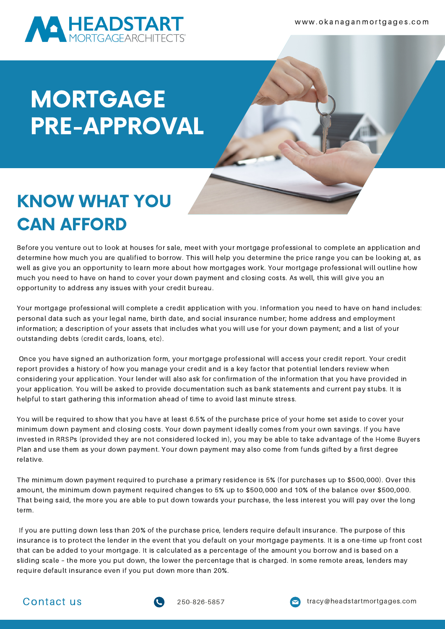

## KNOW WHAT YOU CAN AFFORD

Before you venture out to look at houses for sale, meet with your mortgage professional to complete an application and determine how much you are qualified to borrow. This will help you determine the price range you can be looking at, as well as give you an opportunity to learn more about how mortgages work. Your mortgage professional will outline how much you need to have on hand to cover your down payment and closing costs. As well, this will give you an opportunity to address any issues with your credit bureau.

Your mortgage professional will complete a credit application with you. Information you need to have on hand includes: personal data such as your legal name, birth date, and social insurance number; home address and employment information; a description of your assets that includes what you will use for your down payment; and a list of your outstanding debts (credit cards, loans, etc).

Once you have signed an authorization form, your mortgage professional will access your credit report. Your credit report provides a history of how you manage your credit and is a key factor that potential lenders review when considering your application. Your lender will also ask for confirmation of the information that you have provided in your application. You will be asked to provide documentation such as bank statements and current pay stubs. It is helpful to start gathering this information ahead of time to avoid last minute stress.

You will be required to show that you have at least 6.5% of the purchase price of your home set aside to cover your minimum down payment and closing costs. Your down payment ideally comes from your own savings. If you have invested in RRSPs (provided they are not considered locked in), you may be able to take advantage of the Home Buyers Plan and use them as your down payment. Your down payment may also come from funds gifted by a first degree relative.

The minimum down payment required to purchase a primary residence is 5% (for purchases up to \$500,000). Over this amount, the minimum down payment required changes to 5% up to \$500,000 and 10% of the balance over \$500,000. That being said, the more you are able to put down towards your purchase, the less interest you will pay over the long term.

If you are putting down less than 20% of the purchase price, lenders require default insurance. The purpose of this insurance is to protect the lender in the event that you default on your mortgage payments. It is a one-time up front cost that can be added to your mortgage. It is calculated as a percentage of the amount you borrow and is based on a sliding scale – the more you put down, the lower the percentage that is charged. In some remote areas, lenders may require default insurance even if you put down more than 20%.



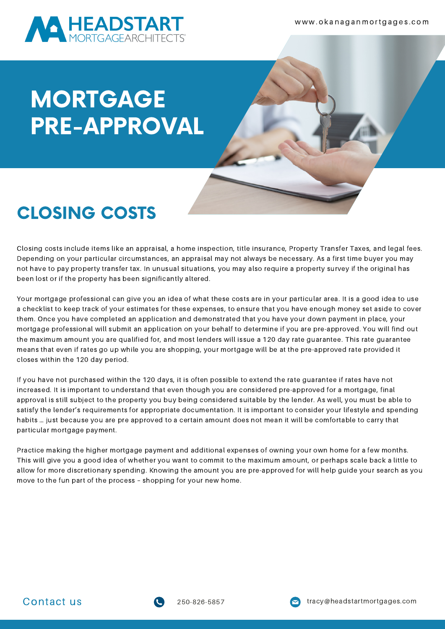

### CLOSING COSTS

Closing costs include items like an appraisal, a home inspection, title insurance, Property Transfer Taxes, and legal fees. Depending on your particular circumstances, an appraisal may not always be necessary. As a first time buyer you may not have to pay property transfer tax. In unusual situations, you may also require a property survey if the original has been lost or if the property has been significantly altered.

Your mortgage professional can give you an idea of what these costs are in your particular area. It is a good idea to use a checklist to keep track of your estimates for these expenses, to ensure that you have enough money set aside to cover them. Once you have completed an application and demonstrated that you have your down payment in place, your mortgage professional will submit an application on your behalf to determine if you are pre-approved. You will find out the maximum amount you are qualified for, and most lenders will issue a 120 day rate guarantee. This rate guarantee means that even if rates go up while you are shopping, your mortgage will be at the pre-approved rate provided it closes within the 120 day period.

If you have not purchased within the 120 days, it is often possible to extend the rate guarantee if rates have not increased. It is important to understand that even though you are considered pre-approved for a mortgage, final approval is still subject to the property you buy being considered suitable by the lender. As well, you must be able to satisfy the lender's requirements for appropriate documentation. It is important to consider your lifestyle and spending habits … just because you are pre approved to a certain amount does not mean it will be comfortable to carry that particular mortgage payment.

Practice making the higher mortgage payment and additional expenses of owning your own home for a few months. This will give you a good idea of whether you want to commit to the maximum amount, or perhaps scale back a little to allow for more discretionary spending. Knowing the amount you are pre-approved for will help guide your search as you move to the fun part of the process – shopping for your new home.





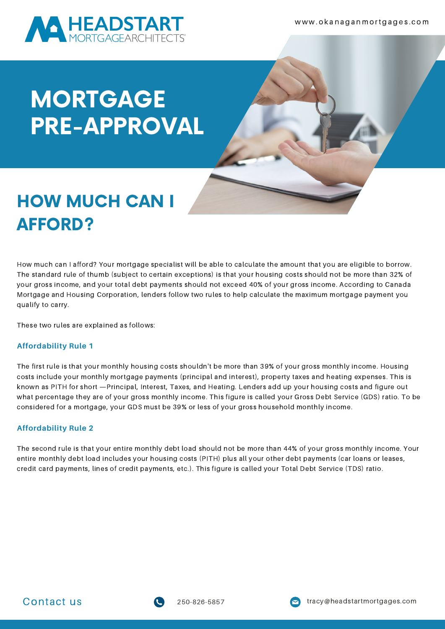

#### HOW MUCH CAN I AFFORD?

How much can I afford? Your mortgage specialist will be able to calculate the amount that you are eligible to borrow. The standard rule of thumb (subject to certain exceptions) is that your housing costs should not be more than 32% of your gross income, and your total debt payments should not exceed 40% of your gross income. According to Canada Mortgage and Housing Corporation, lenders follow two rules to help calculate the maximum mortgage payment you qualify to carry.

These two rules are explained as follows:

#### **Affordability Rule 1**

The first rule is that your monthly housing costs shouldn't be more than 39% of your gross monthly income. Housing costs include your monthly mortgage payments (principal and interest), property taxes and heating expenses. This is known as PITH for short —Principal, Interest, Taxes, and Heating. Lenders add up your housing costs and figure out what percentage they are of your gross monthly income. This figure is called your Gross Debt Service (GDS) ratio. To be considered for a mortgage, your GDS must be 39% or less of your gross household monthly income.

#### **Affordability Rule 2**

The second rule is that your entire monthly debt load should not be more than 44% of your gross monthly income. Your entire monthly debt load includes your housing costs (PITH) plus all your other debt payments (car loans or leases, credit card payments, lines of credit payments, etc.). This figure is called your Total Debt Service (TDS) ratio.